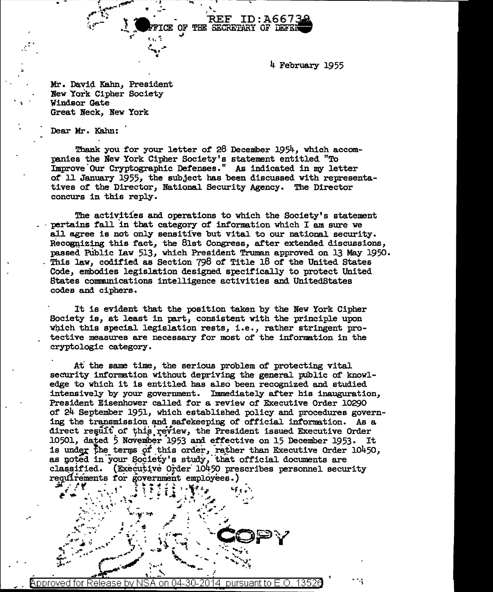4 February 1955

**REF ID:A6673** 

**TE OF THE SECRETARY OF DEFEN** 

Mr. David Kahn, President New York Cipher Society Windsor Gate Great Neck, New York

Dear Mr. Kahn:

Thank you for your letter of 28 December 1954, which accompanies the New York Cipher Society's statement entitled "To Improve Our Cryptographic Defenses." As indicated in my letter of 11 January 1955, the subject has been discussed with representatives of the Director, National Security Agency. The Director concurs in this reply.

The activities and operations to which the Society's statement pertains fall in that category of information which I am sure we all agree is not only sensitive but vital to our national security. Recognizing this fact, the 81st Congress, after extended discussions, passed Public Law 513, which President Truman approved on 13 May 1950. This law, codified as Section 798 of Title 18 of the United States Code, embodies legislation designed specifically to protect United States communications intelligence activities and UnitedStates codes and ciphers.

It is evident that the position taken by the New York Cipher Society is, at least in part, consistent with the principle upon which this special legislation rests, i.e., rather stringent protective measures are necessary for most of the information in the cryptologic category.

At the same time, the serious problem of protecting vital security information without depriving the general public of knowledge to which it is entitled has also been recognized and studied intensively by your government. Immediately after his inauguration, President Eisenhower called for a review of Executive Order 10290 of 24 September 1951, which established policy and procedures governing the transmission and safekeeping of official information. As a direct regult of this review, the President issued Executive Order 10501, dated 5 November 1953 and effective on 15 December 1953. It is under the terms of this order, rather than Executive Order 10450, as noted in your Society's study, that official documents are classified. (Executive Order 10450 prescribes personnel security requirements for government employees.)

1352 Approved for Release by NSA on 04-30. pursuant to E.O.